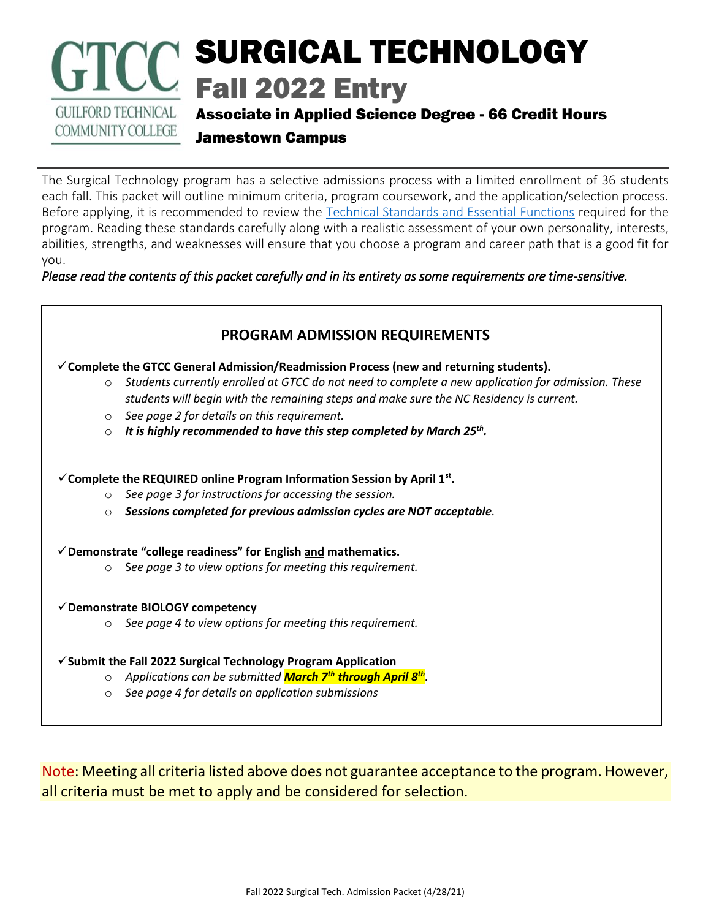# SURGICAL TECHNOLOGY Fall 2022 Entry **GUILFORD TECHNICAL** Associate in Applied Science Degree - 66 Credit Hours

**COMMUNITY COLLEGE** 

Jamestown Campus

The Surgical Technology program has a selective admissions process with a limited enrollment of 36 students each fall. This packet will outline minimum criteria, program coursework, and the application/selection process. Before applying, it is recommended to review the [Technical Standards and Essential Functions](https://www.gtcc.edu/_files/programs/GTCCSurgicalTechnologyEssentialFunctions.pdf) required for the program. Reading these standards carefully along with a realistic assessment of your own personality, interests, abilities, strengths, and weaknesses will ensure that you choose a program and career path that is a good fit for you.

*Please read the contents of this packet carefully and in its entirety as some requirements are time-sensitive.* 



Note: Meeting all criteria listed above does not guarantee acceptance to the program. However, all criteria must be met to apply and be considered for selection.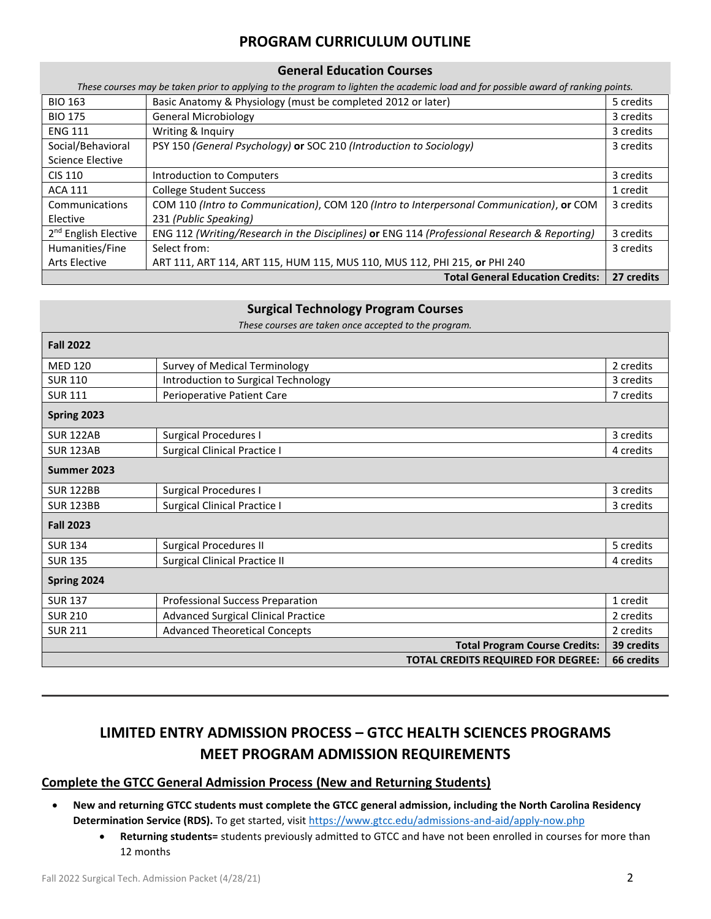## **PROGRAM CURRICULUM OUTLINE**

## **General Education Courses**

*These courses may be taken prior to applying to the program to lighten the academic load and for possible award of ranking points.*

| <b>BIO 163</b>                   | Basic Anatomy & Physiology (must be completed 2012 or later)                                 | 5 credits  |
|----------------------------------|----------------------------------------------------------------------------------------------|------------|
| <b>BIO 175</b>                   | <b>General Microbiology</b>                                                                  | 3 credits  |
| <b>ENG 111</b>                   | Writing & Inquiry                                                                            | 3 credits  |
| Social/Behavioral                | PSY 150 (General Psychology) or SOC 210 (Introduction to Sociology)                          | 3 credits  |
| Science Elective                 |                                                                                              |            |
| CIS 110                          | Introduction to Computers                                                                    | 3 credits  |
| <b>ACA 111</b>                   | <b>College Student Success</b>                                                               | 1 credit   |
| Communications                   | COM 110 (Intro to Communication), COM 120 (Intro to Interpersonal Communication), or COM     | 3 credits  |
| Elective                         | 231 (Public Speaking)                                                                        |            |
| 2 <sup>nd</sup> English Elective | ENG 112 (Writing/Research in the Disciplines) or ENG 114 (Professional Research & Reporting) | 3 credits  |
| Humanities/Fine                  | Select from:                                                                                 | 3 credits  |
| <b>Arts Elective</b>             | ART 111, ART 114, ART 115, HUM 115, MUS 110, MUS 112, PHI 215, or PHI 240                    |            |
|                                  | <b>Total General Education Credits:</b>                                                      | 27 credits |

#### **Surgical Technology Program Courses**

*These courses are taken once accepted to the program.*

| <b>Fall 2022</b> |                                            |            |
|------------------|--------------------------------------------|------------|
| <b>MED 120</b>   | <b>Survey of Medical Terminology</b>       | 2 credits  |
| <b>SUR 110</b>   | Introduction to Surgical Technology        | 3 credits  |
| <b>SUR 111</b>   | Perioperative Patient Care                 | 7 credits  |
| Spring 2023      |                                            |            |
| <b>SUR 122AB</b> | <b>Surgical Procedures I</b>               | 3 credits  |
| <b>SUR 123AB</b> | <b>Surgical Clinical Practice I</b>        | 4 credits  |
| Summer 2023      |                                            |            |
| <b>SUR 122BB</b> | <b>Surgical Procedures I</b>               | 3 credits  |
| <b>SUR 123BB</b> | <b>Surgical Clinical Practice I</b>        | 3 credits  |
| <b>Fall 2023</b> |                                            |            |
| <b>SUR 134</b>   | <b>Surgical Procedures II</b>              | 5 credits  |
| <b>SUR 135</b>   | <b>Surgical Clinical Practice II</b>       | 4 credits  |
| Spring 2024      |                                            |            |
| <b>SUR 137</b>   | <b>Professional Success Preparation</b>    | 1 credit   |
| <b>SUR 210</b>   | <b>Advanced Surgical Clinical Practice</b> | 2 credits  |
| <b>SUR 211</b>   | <b>Advanced Theoretical Concepts</b>       | 2 credits  |
|                  | <b>Total Program Course Credits:</b>       | 39 credits |
|                  | <b>TOTAL CREDITS REQUIRED FOR DEGREE:</b>  | 66 credits |

## **LIMITED ENTRY ADMISSION PROCESS – GTCC HEALTH SCIENCES PROGRAMS MEET PROGRAM ADMISSION REQUIREMENTS**

### **Complete the GTCC General Admission Process (New and Returning Students)**

- **New and returning GTCC students must complete the GTCC general admission, including the North Carolina Residency Determination Service (RDS).** To get started, visit<https://www.gtcc.edu/admissions-and-aid/apply-now.php>
	- **Returning students=** students previously admitted to GTCC and have not been enrolled in courses for more than 12 months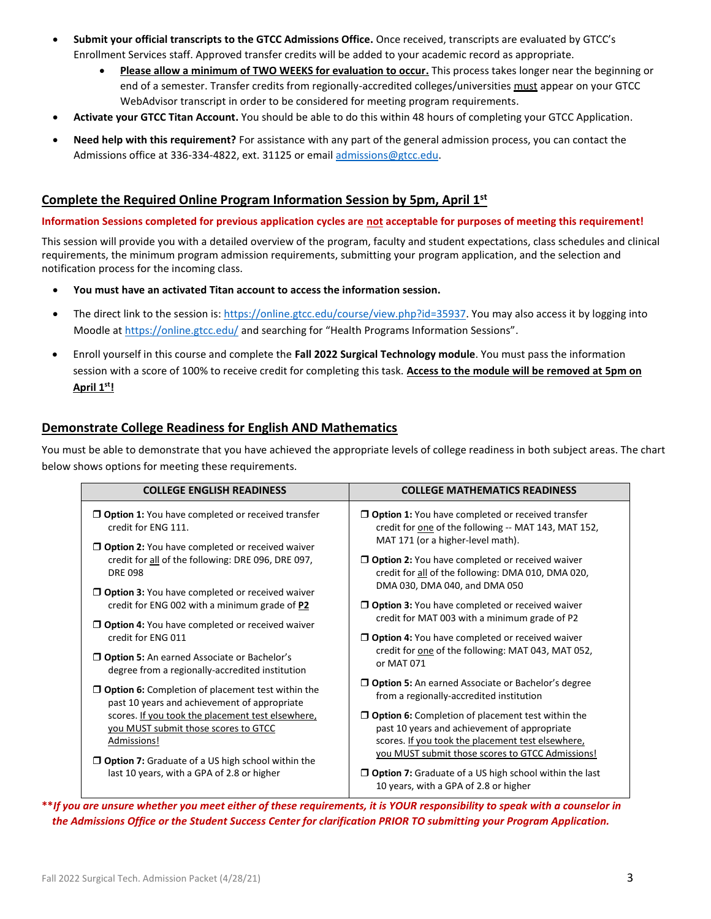- **Submit your official transcripts to the GTCC Admissions Office.** Once received, transcripts are evaluated by GTCC's Enrollment Services staff. Approved transfer credits will be added to your academic record as appropriate.
	- **Please allow a minimum of TWO WEEKS for evaluation to occur.** This process takes longer near the beginning or end of a semester. Transfer credits from regionally-accredited colleges/universities must appear on your GTCC WebAdvisor transcript in order to be considered for meeting program requirements.
- **Activate your GTCC Titan Account.** You should be able to do this within 48 hours of completing your GTCC Application.
- **Need help with this requirement?** For assistance with any part of the general admission process, you can contact the Admissions office at 336-334-4822, ext. 31125 or email [admissions@gtcc.edu.](mailto:admissions@gtcc.edu)

#### **Complete the Required Online Program Information Session by 5pm, April 1st**  $\overline{a}$

**Information Sessions completed for previous application cycles are not acceptable for purposes of meeting this requirement!**

This session will provide you with a detailed overview of the program, faculty and student expectations, class schedules and clinical requirements, the minimum program admission requirements, submitting your program application, and the selection and notification process for the incoming class.

- **You must have an activated Titan account to access the information session.**
- The direct link to the session is: [https://online.gtcc.edu/course/view.php?id=35937.](https://online.gtcc.edu/course/view.php?id=35937) You may also access it by logging into Moodle a[t https://online.gtcc.edu/](https://online.gtcc.edu/) and searching for "Health Programs Information Sessions".
- Enroll yourself in this course and complete the **Fall 2022 Surgical Technology module**. You must pass the information session with a score of 100% to receive credit for completing this task. **Access to the module will be removed at 5pm on April 1st!**

### **Demonstrate College Readiness for English AND Mathematics**

You must be able to demonstrate that you have achieved the appropriate levels of college readiness in both subject areas. The chart below shows options for meeting these requirements.

| <b>COLLEGE ENGLISH READINESS</b>                                                                         | <b>COLLEGE MATHEMATICS READINESS</b>                                                                                                                                                                              |  |
|----------------------------------------------------------------------------------------------------------|-------------------------------------------------------------------------------------------------------------------------------------------------------------------------------------------------------------------|--|
| $\Box$ Option 1: You have completed or received transfer                                                 | $\Box$ Option 1: You have completed or received transfer                                                                                                                                                          |  |
| credit for ENG 111.                                                                                      | credit for one of the following -- MAT 143, MAT 152,                                                                                                                                                              |  |
| O Option 2: You have completed or received waiver                                                        | MAT 171 (or a higher-level math).                                                                                                                                                                                 |  |
| credit for all of the following: DRE 096, DRE 097,                                                       | <b>D</b> Option 2: You have completed or received waiver                                                                                                                                                          |  |
| <b>DRE 098</b>                                                                                           | credit for all of the following: DMA 010, DMA 020,                                                                                                                                                                |  |
| $\Box$ Option 3: You have completed or received waiver                                                   | DMA 030, DMA 040, and DMA 050                                                                                                                                                                                     |  |
| credit for ENG 002 with a minimum grade of P2                                                            | <b>D</b> Option 3: You have completed or received waiver                                                                                                                                                          |  |
| <b>D</b> Option 4: You have completed or received waiver                                                 | credit for MAT 003 with a minimum grade of P2                                                                                                                                                                     |  |
| credit for ENG 011                                                                                       | <b>D</b> Option 4: You have completed or received waiver                                                                                                                                                          |  |
| $\Box$ Option 5: An earned Associate or Bachelor's                                                       | credit for one of the following: MAT 043, MAT 052,                                                                                                                                                                |  |
| degree from a regionally-accredited institution                                                          | or MAT 071                                                                                                                                                                                                        |  |
| $\Box$ Option 6: Completion of placement test within the                                                 | <b>D</b> Option 5: An earned Associate or Bachelor's degree                                                                                                                                                       |  |
| past 10 years and achievement of appropriate                                                             | from a regionally-accredited institution                                                                                                                                                                          |  |
| scores. If you took the placement test elsewhere,<br>you MUST submit those scores to GTCC<br>Admissions! | $\Box$ Option 6: Completion of placement test within the<br>past 10 years and achievement of appropriate<br>scores. If you took the placement test elsewhere,<br>you MUST submit those scores to GTCC Admissions! |  |
| $\Box$ Option 7: Graduate of a US high school within the                                                 | $\Box$ Option 7: Graduate of a US high school within the last                                                                                                                                                     |  |
| last 10 years, with a GPA of 2.8 or higher                                                               | 10 years, with a GPA of 2.8 or higher                                                                                                                                                                             |  |

**\*\****If you are unsure whether you meet either of these requirements, it is YOUR responsibility to speak with a counselor in the Admissions Office or the Student Success Center for clarification PRIOR TO submitting your Program Application.*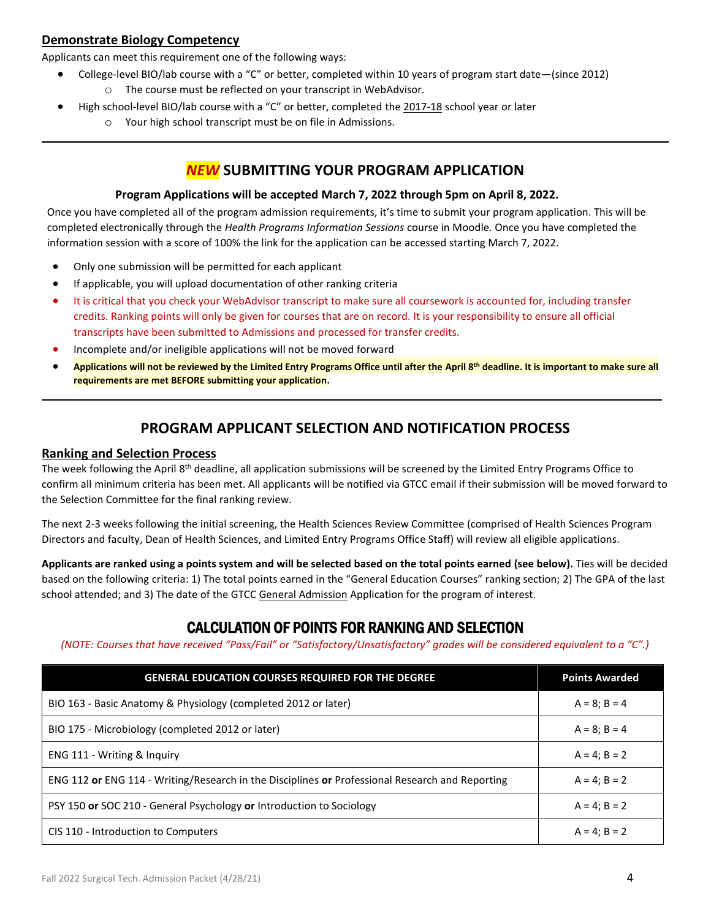## **Demonstrate Biology Competency**

Applicants can meet this requirement one of the following ways:

- College-level BIO/lab course with a "C" or better, completed within 10 years of program start date—(since 2012) o The course must be reflected on your transcript in WebAdvisor.
- High school-level BIO/lab course with a "C" or better, completed the 2017-18 school year or later
	- o Your high school transcript must be on file in Admissions.

## *NEW* **SUBMITTING YOUR PROGRAM APPLICATION**

#### **Program Applications will be accepted March 7, 2022 through 5pm on April 8, 2022.**

Once you have completed all of the program admission requirements, it's time to submit your program application. This will be completed electronically through the *Health Programs Information Sessions* course in Moodle. Once you have completed the information session with a score of 100% the link for the application can be accessed starting March 7, 2022.

- Only one submission will be permitted for each applicant
- If applicable, you will upload documentation of other ranking criteria
- It is critical that you check your WebAdvisor transcript to make sure all coursework is accounted for, including transfer credits. Ranking points will only be given for courses that are on record. It is your responsibility to ensure all official transcripts have been submitted to Admissions and processed for transfer credits.
- Incomplete and/or ineligible applications will not be moved forward
- **Applications will not be reviewed by the Limited Entry Programs Office until after the April 8th deadline. It is important to make sure all requirements are met BEFORE submitting your application.**

## **PROGRAM APPLICANT SELECTION AND NOTIFICATION PROCESS**

#### **Ranking and Selection Process**

The week following the April 8<sup>th</sup> deadline, all application submissions will be screened by the Limited Entry Programs Office to confirm all minimum criteria has been met. All applicants will be notified via GTCC email if their submission will be moved forward to the Selection Committee for the final ranking review.

The next 2-3 weeks following the initial screening, the Health Sciences Review Committee (comprised of Health Sciences Program Directors and faculty, Dean of Health Sciences, and Limited Entry Programs Office Staff) will review all eligible applications.

**Applicants are ranked using a points system and will be selected based on the total points earned (see below).** Ties will be decided based on the following criteria: 1) The total points earned in the "General Education Courses" ranking section; 2) The GPA of the last school attended; and 3) The date of the GTCC General Admission Application for the program of interest.

## CALCULATION OF POINTS FOR RANKING AND SELECTION

*(NOTE: Courses that have received "Pass/Fail" or "Satisfactory/Unsatisfactory" grades will be considered equivalent to a "C".)*

| <b>GENERAL EDUCATION COURSES REQUIRED FOR THE DEGREE</b>                                        | <b>Points Awarded</b> |
|-------------------------------------------------------------------------------------------------|-----------------------|
| BIO 163 - Basic Anatomy & Physiology (completed 2012 or later)                                  | $A = 8$ ; B = 4       |
| BIO 175 - Microbiology (completed 2012 or later)                                                | $A = 8$ ; B = 4       |
| ENG 111 - Writing & Inquiry                                                                     | $A = 4$ : $B = 2$     |
| ENG 112 or ENG 114 - Writing/Research in the Disciplines or Professional Research and Reporting | $A = 4: B = 2$        |
| PSY 150 or SOC 210 - General Psychology or Introduction to Sociology                            | $A = 4: B = 2$        |
| CIS 110 - Introduction to Computers                                                             | $A = 4$ : $B = 2$     |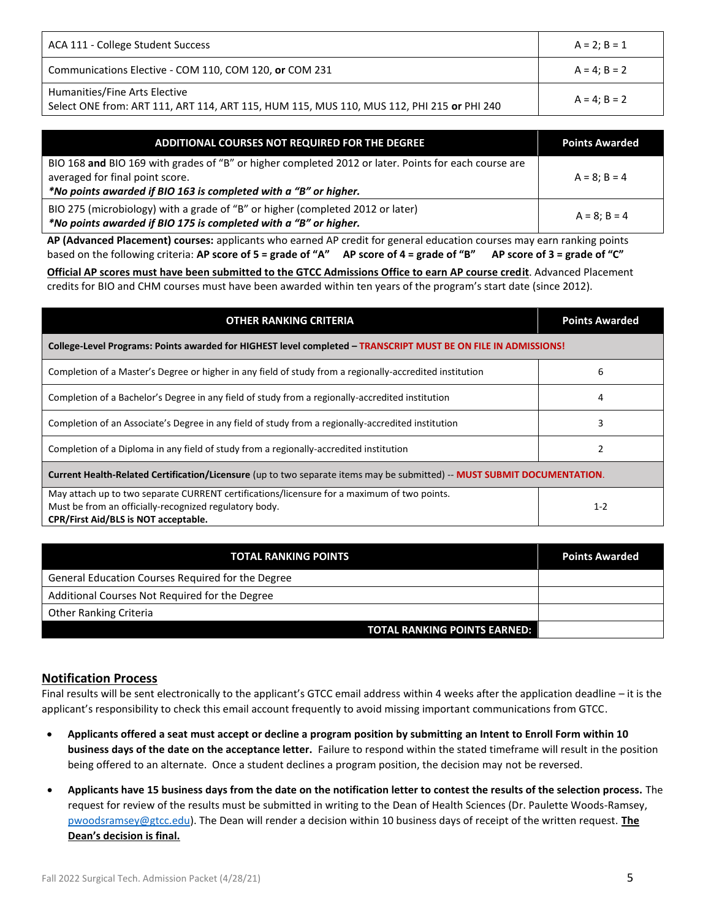| ACA 111 - College Student Success                                                                                          | $A = 2: B = 1$ |
|----------------------------------------------------------------------------------------------------------------------------|----------------|
| Communications Elective - COM 110, COM 120, or COM 231                                                                     | $A = 4: B = 2$ |
| Humanities/Fine Arts Elective<br>Select ONE from: ART 111, ART 114, ART 115, HUM 115, MUS 110, MUS 112, PHI 215 or PHI 240 | $A = 4: B = 2$ |

| ADDITIONAL COURSES NOT REQUIRED FOR THE DEGREE                                                       | <b>Points Awarded</b> |
|------------------------------------------------------------------------------------------------------|-----------------------|
| BIO 168 and BIO 169 with grades of "B" or higher completed 2012 or later. Points for each course are |                       |
| averaged for final point score.                                                                      | $A = 8: B = 4$        |
| *No points awarded if BIO 163 is completed with a "B" or higher.                                     |                       |
| BIO 275 (microbiology) with a grade of "B" or higher (completed 2012 or later)                       | $A = 8: B = 4$        |
| *No points awarded if BIO 175 is completed with a "B" or higher.                                     |                       |

**AP (Advanced Placement) courses:** applicants who earned AP credit for general education courses may earn ranking points based on the following criteria: **AP score of 5 = grade of "A" AP score of 4 = grade of "B" AP score of 3 = grade of "C"** 

**Official AP scores must have been submitted to the GTCC Admissions Office to earn AP course credit**. Advanced Placement credits for BIO and CHM courses must have been awarded within ten years of the program's start date (since 2012).

| <b>OTHER RANKING CRITERIA</b>                                                                                                                                                                 | <b>Points Awarded</b> |  |
|-----------------------------------------------------------------------------------------------------------------------------------------------------------------------------------------------|-----------------------|--|
| College-Level Programs: Points awarded for HIGHEST level completed - TRANSCRIPT MUST BE ON FILE IN ADMISSIONS!                                                                                |                       |  |
| Completion of a Master's Degree or higher in any field of study from a regionally-accredited institution                                                                                      | 6                     |  |
| Completion of a Bachelor's Degree in any field of study from a regionally-accredited institution                                                                                              | 4                     |  |
| Completion of an Associate's Degree in any field of study from a regionally-accredited institution                                                                                            | 3                     |  |
| Completion of a Diploma in any field of study from a regionally-accredited institution                                                                                                        |                       |  |
| Current Health-Related Certification/Licensure (up to two separate items may be submitted) -- MUST SUBMIT DOCUMENTATION.                                                                      |                       |  |
| May attach up to two separate CURRENT certifications/licensure for a maximum of two points.<br>Must be from an officially-recognized regulatory body.<br>CPR/First Aid/BLS is NOT acceptable. | $1 - 2$               |  |

| <b>TOTAL RANKING POINTS</b>                       | <b>Points Awarded</b> |
|---------------------------------------------------|-----------------------|
| General Education Courses Required for the Degree |                       |
| Additional Courses Not Required for the Degree    |                       |
| <b>Other Ranking Criteria</b>                     |                       |
| <b>TOTAL RANKING POINTS EARNED:</b>               |                       |

### **Notification Process**

Final results will be sent electronically to the applicant's GTCC email address within 4 weeks after the application deadline – it is the applicant's responsibility to check this email account frequently to avoid missing important communications from GTCC.

- **Applicants offered a seat must accept or decline a program position by submitting an Intent to Enroll Form within 10 business days of the date on the acceptance letter.** Failure to respond within the stated timeframe will result in the position being offered to an alternate. Once a student declines a program position, the decision may not be reversed.
- **Applicants have 15 business days from the date on the notification letter to contest the results of the selection process.** The request for review of the results must be submitted in writing to the Dean of Health Sciences (Dr. Paulette Woods-Ramsey, [pwoodsramsey@gtcc.edu\)](mailto:pwoodsramsey@gtcc.edu). The Dean will render a decision within 10 business days of receipt of the written request. **The Dean's decision is final.**